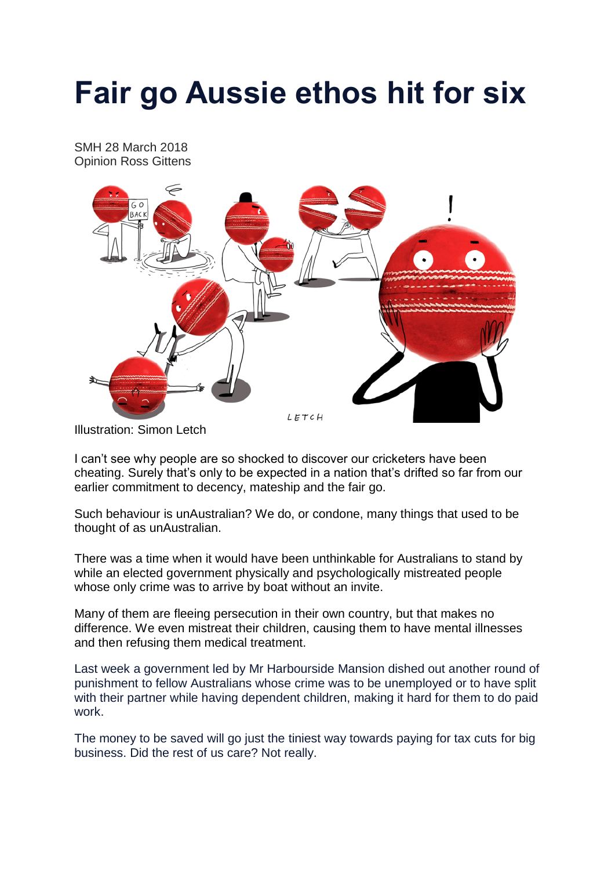## **Fair go Aussie ethos hit for six**

SMH 28 March 2018 Opinion Ross Gittens



Illustration: Simon Letch

I can't see why people are so shocked to discover our cricketers have been cheating. Surely that's only to be expected in a nation that's drifted so far from our earlier commitment to decency, mateship and the fair go.

Such behaviour is unAustralian? We do, or condone, many things that used to be thought of as unAustralian.

There was a time when it would have been unthinkable for Australians to stand by while an elected government physically and psychologically mistreated people whose only crime was to arrive by boat without an invite.

Many of them are fleeing persecution in their own country, but that makes no difference. We even mistreat their children, causing them to have mental illnesses and then refusing them medical treatment.

Last week a government led by Mr Harbourside Mansion dished out another round of punishment to fellow Australians whose crime was to be unemployed or to have split with their partner while having dependent children, making it hard for them to do paid work.

The money to be saved will go just the tiniest way towards paying for tax cuts for big business. Did the rest of us care? Not really.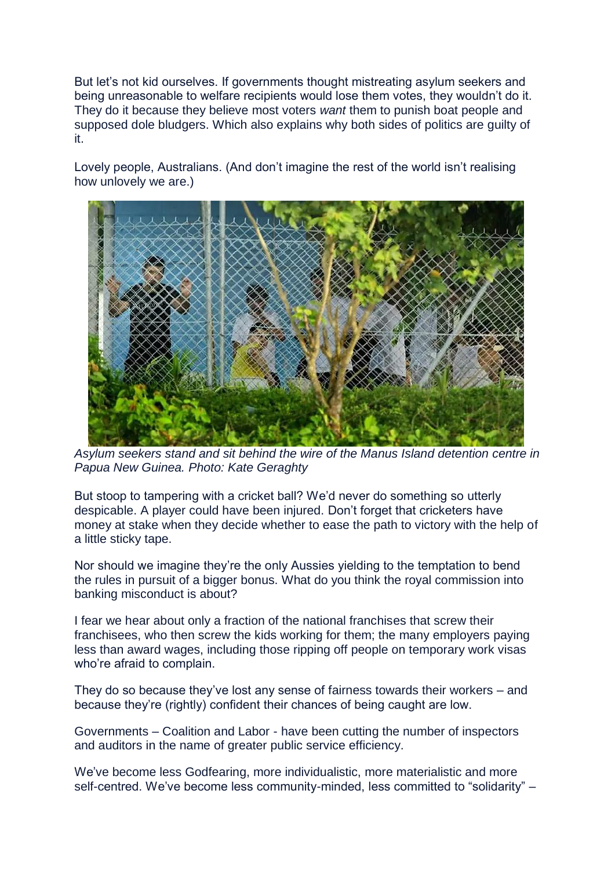But let's not kid ourselves. If governments thought mistreating asylum seekers and being unreasonable to welfare recipients would lose them votes, they wouldn't do it. They do it because they believe most voters *want* them to punish boat people and supposed dole bludgers. Which also explains why both sides of politics are guilty of it.

Lovely people, Australians. (And don't imagine the rest of the world isn't realising how unlovely we are.)



*Asylum seekers stand and sit behind the wire of the Manus Island detention centre in Papua New Guinea. Photo: Kate Geraghty*

But stoop to tampering with a cricket ball? We'd never do something so utterly despicable. A player could have been injured. Don't forget that cricketers have money at stake when they decide whether to ease the path to victory with the help of a little sticky tape.

Nor should we imagine they're the only Aussies yielding to the temptation to bend the rules in pursuit of a bigger bonus. What do you think the royal commission into banking misconduct is about?

I fear we hear about only a fraction of the national franchises that screw their franchisees, who then screw the kids working for them; the many employers paying less than award wages, including those ripping off people on temporary work visas who're afraid to complain.

They do so because they've lost any sense of fairness towards their workers – and because they're (rightly) confident their chances of being caught are low.

Governments – Coalition and Labor - have been cutting the number of inspectors and auditors in the name of greater public service efficiency.

We've become less Godfearing, more individualistic, more materialistic and more self-centred. We've become less community-minded, less committed to "solidarity" –